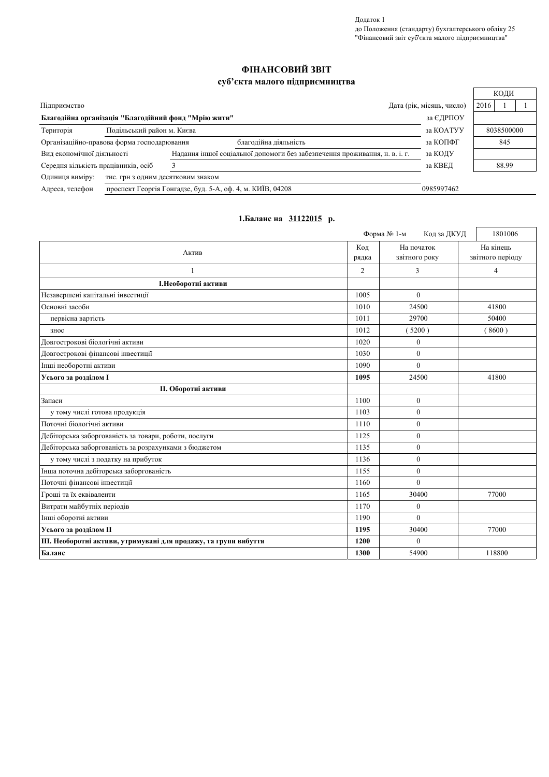Додаток 1 до Положення (стандарту) бухгалтерського обліку 25<br>"Фінансовий звіт суб'єкта малого підприємництва"

## ФІНАНСОВИЙ ЗВІТ

## суб'єкта малого підприємництва

|                                                                     |                                    |                                                                            |                           | КОДИ       |
|---------------------------------------------------------------------|------------------------------------|----------------------------------------------------------------------------|---------------------------|------------|
| Підприємство                                                        |                                    |                                                                            | Дата (рік, місяць, число) | 2016       |
| Благодійна організація "Благодійний фонд "Мрію жити"                |                                    |                                                                            | за ЄДРПОУ                 |            |
| Територія                                                           | Подільський район м. Києва         |                                                                            | за КОАТУУ                 | 8038500000 |
| благодійна діяльність<br>Організаційно-правова форма господарювання |                                    |                                                                            | за КОПФГ                  | 845        |
| Вид економічної діяльності                                          |                                    | Надання іншої соціальної допомоги без забезпечення проживання, н. в. і. г. | за КОДУ                   |            |
| Середня кількість працівників, осіб                                 |                                    |                                                                            | за КВЕД                   | 88.99      |
| Одиниця виміру:                                                     | тис. грн з одним десятковим знаком |                                                                            |                           |            |
| Адреса, телефон                                                     |                                    | проспект Георгія Гонгадзе, буд. 5-А, оф. 4, м. КИЇВ, 04208                 | 0985997462                |            |

## 1.Баланс на 31122015 р.

|                                                                  |                | Форма № 1-м<br>Код за ДКУД  | 1801006                       |
|------------------------------------------------------------------|----------------|-----------------------------|-------------------------------|
| Актив                                                            | Код<br>рядка   | На початок<br>звітного року | На кінець<br>звітного періоду |
| $\mathbf{1}$                                                     | $\overline{2}$ | 3                           | $\overline{4}$                |
| І.Необоротні активи                                              |                |                             |                               |
| Незавершені капітальні інвестиції                                | 1005           | $\theta$                    |                               |
| Основні засоби                                                   |                | 24500                       | 41800                         |
| первісна вартість                                                | 1011           | 29700                       | 50400                         |
| знос                                                             |                | (5200)                      | 8600)                         |
| Довгострокові біологічні активи                                  | 1020           | $\boldsymbol{0}$            |                               |
| Довгострокові фінансові інвестиції                               | 1030           | $\theta$                    |                               |
| Інші необоротні активи                                           | 1090           | $\Omega$                    |                               |
| Усього за розділом I                                             | 1095           | 24500                       | 41800                         |
| <b>II. Оборотні активи</b>                                       |                |                             |                               |
| Запаси                                                           | 1100           | $\boldsymbol{0}$            |                               |
| у тому числі готова продукція                                    | 1103           | $\overline{0}$              |                               |
| Поточні біологічні активи                                        | 1110           | $\mathbf{0}$                |                               |
| Дебіторська заборгованість за товари, роботи, послуги            | 1125           | $\boldsymbol{0}$            |                               |
| Дебіторська заборгованість за розрахунками з бюджетом            |                | $\overline{0}$              |                               |
| у тому числі з податку на прибуток                               |                | $\mathbf{0}$                |                               |
| Інша поточна дебіторська заборгованість                          |                | $\boldsymbol{0}$            |                               |
| Поточні фінансові інвестиції                                     |                | $\theta$                    |                               |
| Гроші та їх еквіваленти                                          |                | 30400                       | 77000                         |
| Витрати майбутніх періодів                                       |                | $\mathbf{0}$                |                               |
| Інші оборотні активи                                             |                | $\theta$                    |                               |
| Усього за розділом II                                            |                | 30400                       | 77000                         |
| III. Необоротні активи, утримувані для продажу, та групи вибуття |                | $\mathbf{0}$                |                               |
| Баланс                                                           |                | 54900                       | 118800                        |